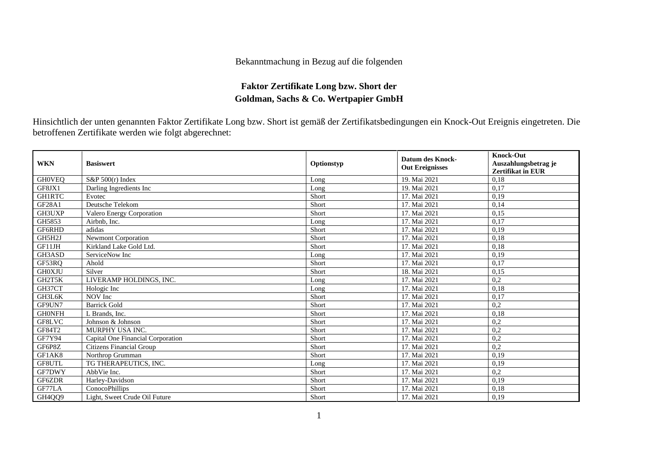## Bekanntmachung in Bezug auf die folgenden

## **Faktor Zertifikate Long bzw. Short der Goldman, Sachs & Co. Wertpapier GmbH**

Hinsichtlich der unten genannten Faktor Zertifikate Long bzw. Short ist gemäß der Zertifikatsbedingungen ein Knock-Out Ereignis eingetreten. Die betroffenen Zertifikate werden wie folgt abgerechnet:

| <b>WKN</b>    | <b>Basiswert</b>                  | Optionstyp | <b>Datum des Knock-</b><br><b>Out Ereignisses</b> | <b>Knock-Out</b><br>Auszahlungsbetrag je<br><b>Zertifikat in EUR</b> |
|---------------|-----------------------------------|------------|---------------------------------------------------|----------------------------------------------------------------------|
| <b>GHOVEQ</b> | S&P 500(r) Index                  | Long       | 19. Mai 2021                                      | 0.18                                                                 |
| GF8JX1        | Darling Ingredients Inc           | Long       | 19. Mai 2021                                      | 0,17                                                                 |
| <b>GH1RTC</b> | Evotec                            | Short      | 17. Mai 2021                                      | 0.19                                                                 |
| <b>GF28A1</b> | Deutsche Telekom                  | Short      | 17. Mai 2021                                      | 0,14                                                                 |
| GH3UXP        | Valero Energy Corporation         | Short      | 17. Mai 2021                                      | 0,15                                                                 |
| GH5853        | Airbnb. Inc.                      | Long       | 17. Mai 2021                                      | 0.17                                                                 |
| GF6RHD        | adidas                            | Short      | 17. Mai 2021                                      | 0,19                                                                 |
| GH5H2J        | <b>Newmont Corporation</b>        | Short      | 17. Mai 2021                                      | 0,18                                                                 |
| GF11JH        | Kirkland Lake Gold Ltd.           | Short      | 17. Mai 2021                                      | 0,18                                                                 |
| GH3ASD        | ServiceNow Inc                    | Long       | 17. Mai 2021                                      | 0.19                                                                 |
| GF53RQ        | Ahold                             | Short      | 17. Mai 2021                                      | 0,17                                                                 |
| <b>GH0XJU</b> | Silver                            | Short      | 18. Mai 2021                                      | 0,15                                                                 |
| GH2T5K        | LIVERAMP HOLDINGS, INC.           | Long       | 17. Mai 2021                                      | 0,2                                                                  |
| GH37CT        | Hologic Inc                       | Long       | 17. Mai 2021                                      | 0,18                                                                 |
| GH3L6K        | NOV Inc                           | Short      | 17. Mai 2021                                      | 0,17                                                                 |
| GF9UN7        | <b>Barrick Gold</b>               | Short      | 17. Mai 2021                                      | 0,2                                                                  |
| <b>GHONFH</b> | L Brands, Inc.                    | Short      | 17. Mai 2021                                      | 0,18                                                                 |
| GF8LVC        | Johnson & Johnson                 | Short      | 17. Mai 2021                                      | 0,2                                                                  |
| GF84T2        | MURPHY USA INC.                   | Short      | 17. Mai 2021                                      | 0,2                                                                  |
| GF7Y94        | Capital One Financial Corporation | Short      | 17. Mai 2021                                      | 0,2                                                                  |
| GF6P8Z        | <b>Citizens Financial Group</b>   | Short      | 17. Mai 2021                                      | 0,2                                                                  |
| GF1AK8        | Northrop Grumman                  | Short      | 17. Mai 2021                                      | 0.19                                                                 |
| GF8UTL        | TG THERAPEUTICS, INC.             | Long       | 17. Mai 2021                                      | 0,19                                                                 |
| <b>GF7DWY</b> | AbbVie Inc.                       | Short      | 17. Mai 2021                                      | 0,2                                                                  |
| GF6ZDR        | Harley-Davidson                   | Short      | 17. Mai 2021                                      | 0,19                                                                 |
| GF77LA        | ConocoPhillips                    | Short      | 17. Mai 2021                                      | 0,18                                                                 |
| GH4QQ9        | Light, Sweet Crude Oil Future     | Short      | 17. Mai 2021                                      | 0,19                                                                 |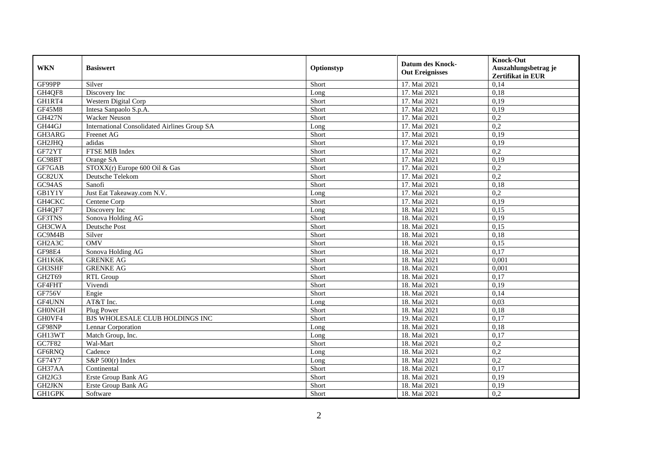| <b>WKN</b>                       | <b>Basiswert</b>                                    | Optionstyp | <b>Datum des Knock-</b><br><b>Out Ereignisses</b> | <b>Knock-Out</b><br>Auszahlungsbetrag je<br><b>Zertifikat in EUR</b> |
|----------------------------------|-----------------------------------------------------|------------|---------------------------------------------------|----------------------------------------------------------------------|
| GF99PP                           | Silver                                              | Short      | 17. Mai 2021                                      | 0,14                                                                 |
| GH4QF8                           | Discovery Inc                                       | Long       | 17. Mai 2021                                      | 0,18                                                                 |
| GH1RT4                           | Western Digital Corp                                | Short      | 17. Mai 2021                                      | 0,19                                                                 |
| <b>GF45M8</b>                    | Intesa Sanpaolo S.p.A.                              | Short      | 17. Mai 2021                                      | 0,19                                                                 |
| <b>GH427N</b>                    | <b>Wacker Neuson</b>                                | Short      | 17. Mai 2021                                      | 0,2                                                                  |
| GH44GJ                           | <b>International Consolidated Airlines Group SA</b> | Long       | 17. Mai 2021                                      | $\overline{0.2}$                                                     |
| GH3ARG                           | Freenet AG                                          | Short      | 17. Mai 2021                                      | 0,19                                                                 |
| GH2JHQ                           | adidas                                              | Short      | 17. Mai 2021                                      | 0,19                                                                 |
| GF72YT                           | FTSE MIB Index                                      | Short      | 17. Mai 2021                                      | 0,2                                                                  |
| GC98BT                           | Orange SA                                           | Short      | 17. Mai 2021                                      | 0,19                                                                 |
| GF7GAB                           | STOXX(r) Europe 600 Oil & Gas                       | Short      | 17. Mai 2021                                      | 0,2                                                                  |
| GC82UX                           | Deutsche Telekom                                    | Short      | 17. Mai 2021                                      | 0,2                                                                  |
| GC94AS                           | Sanofi                                              | Short      | 17. Mai 2021                                      | 0,18                                                                 |
| GB1Y1Y                           | Just Eat Takeaway.com N.V.                          | Long       | 17. Mai 2021                                      | 0,2                                                                  |
| GH4CKC                           | Centene Corp                                        | Short      | 17. Mai 2021                                      | 0,19                                                                 |
| GH4QF7                           | Discovery Inc                                       | Long       | 18. Mai 2021                                      | 0,15                                                                 |
| GF3TNS                           | Sonova Holding AG                                   | Short      | 18. Mai 2021                                      | 0,19                                                                 |
| GH3CWA                           | Deutsche Post                                       | Short      | 18. Mai 2021                                      | 0.15                                                                 |
| GC9M4B                           | Silver                                              | Short      | 18. Mai 2021                                      | 0,18                                                                 |
| GH <sub>2</sub> A <sub>3</sub> C | <b>OMV</b>                                          | Short      | 18. Mai 2021                                      | 0,15                                                                 |
| GF98E4                           | Sonova Holding AG                                   | Short      | 18. Mai 2021                                      | 0,17                                                                 |
| GH1K6K                           | <b>GRENKE AG</b>                                    | Short      | 18. Mai 2021                                      | 0,001                                                                |
| GH3SHF                           | <b>GRENKE AG</b>                                    | Short      | 18. Mai 2021                                      | 0,001                                                                |
| GH2T69                           | RTL Group                                           | Short      | 18. Mai 2021                                      | 0,17                                                                 |
| GF4FHT                           | Vivendi                                             | Short      | 18. Mai 2021                                      | 0.19                                                                 |
| <b>GF756V</b>                    | Engie                                               | Short      | 18. Mai 2021                                      | 0,14                                                                 |
| GF4UNN                           | AT&T Inc.                                           | Long       | 18. Mai 2021                                      | 0,03                                                                 |
| <b>GHONGH</b>                    | Plug Power                                          | Short      | 18. Mai 2021                                      | 0.18                                                                 |
| GH0VF4                           | BJS WHOLESALE CLUB HOLDINGS INC                     | Short      | 19. Mai 2021                                      | 0,17                                                                 |
| GF98NP                           | Lennar Corporation                                  | Long       | 18. Mai 2021                                      | 0,18                                                                 |
| GH13WT                           | Match Group, Inc.                                   | Long       | 18. Mai 2021                                      | 0,17                                                                 |
| GC7F82                           | Wal-Mart                                            | Short      | 18. Mai 2021                                      | 0,2                                                                  |
| GF6RNQ                           | Cadence                                             | Long       | 18. Mai 2021                                      | 0,2                                                                  |
| GF74Y7                           | S&P $500(r)$ Index                                  | Long       | 18. Mai 2021                                      | 0,2                                                                  |
| GH37AA                           | Continental                                         | Short      | 18. Mai 2021                                      | 0,17                                                                 |
| GH2JG3                           | Erste Group Bank AG                                 | Short      | 18. Mai 2021                                      | 0,19                                                                 |
| GH2JKN                           | Erste Group Bank AG                                 | Short      | 18. Mai 2021                                      | 0,19                                                                 |
| <b>GH1GPK</b>                    | Software                                            | Short      | 18. Mai 2021                                      | 0,2                                                                  |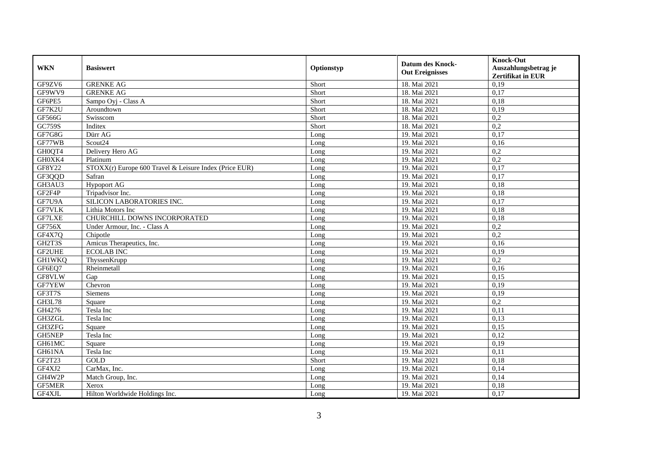| <b>WKN</b>    | <b>Basiswert</b>                                       | Optionstyp | <b>Datum des Knock-</b><br><b>Out Ereignisses</b> | <b>Knock-Out</b><br>Auszahlungsbetrag je<br>Zertifikat in EUR |
|---------------|--------------------------------------------------------|------------|---------------------------------------------------|---------------------------------------------------------------|
| GF9ZV6        | <b>GRENKE AG</b>                                       | Short      | 18. Mai 2021                                      | 0,19                                                          |
| GF9WV9        | <b>GRENKE AG</b>                                       | Short      | 18. Mai 2021                                      | 0,17                                                          |
| GF6PE5        | Sampo Oyj - Class A                                    | Short      | 18. Mai 2021                                      | 0,18                                                          |
| GF7K2U        | Aroundtown                                             | Short      | 18. Mai 2021                                      | 0,19                                                          |
| GF566G        | Swisscom                                               | Short      | 18. Mai 2021                                      | 0,2                                                           |
| GC759S        | Inditex                                                | Short      | 18. Mai 2021                                      | $\overline{0.2}$                                              |
| GF7G8G        | Dürr AG                                                | Long       | 19. Mai 2021                                      | 0,17                                                          |
| GF77WB        | Scout <sub>24</sub>                                    | Long       | 19. Mai 2021                                      | 0,16                                                          |
| GH0QT4        | Delivery Hero AG                                       | Long       | 19. Mai 2021                                      | 0,2                                                           |
| GH0XK4        | Platinum                                               | Long       | 19. Mai 2021                                      | 0,2                                                           |
| GF8Y22        | STOXX(r) Europe 600 Travel & Leisure Index (Price EUR) | Long       | 19. Mai 2021                                      | 0,17                                                          |
| GF3QQD        | Safran                                                 | Long       | 19. Mai 2021                                      | 0,17                                                          |
| GH3AU3        | Hypoport AG                                            | Long       | 19. Mai 2021                                      | 0,18                                                          |
| GF2F4P        | Tripadvisor Inc.                                       | Long       | 19. Mai 2021                                      | 0,18                                                          |
| GF7U9A        | SILICON LABORATORIES INC.                              | Long       | 19. Mai 2021                                      | 0,17                                                          |
| GF7VLK        | Lithia Motors Inc                                      | Long       | 19. Mai 2021                                      | 0,18                                                          |
| GF7LXE        | CHURCHILL DOWNS INCORPORATED                           | Long       | 19. Mai 2021                                      | 0,18                                                          |
| <b>GF756X</b> | Under Armour, Inc. - Class A                           | Long       | 19. Mai 2021                                      | 0,2                                                           |
| GF4X7Q        | Chipotle                                               | Long       | 19. Mai 2021                                      | 0,2                                                           |
| GH2T3S        | Amicus Therapeutics, Inc.                              | Long       | 19. Mai 2021                                      | 0,16                                                          |
| GF2UHE        | <b>ECOLAB INC</b>                                      | Long       | 19. Mai 2021                                      | 0,19                                                          |
| <b>GH1WKQ</b> | ThyssenKrupp                                           | Long       | 19. Mai 2021                                      | 0,2                                                           |
| GF6EQ7        | Rheinmetall                                            | Long       | 19. Mai 2021                                      | 0,16                                                          |
| GF8VLW        | Gap                                                    | Long       | 19. Mai 2021                                      | 0,15                                                          |
| GF7YEW        | Chevron                                                | Long       | 19. Mai 2021                                      | 0,19                                                          |
| GF3T7S        | <b>Siemens</b>                                         | Long       | 19. Mai 2021                                      | 0,19                                                          |
| <b>GH3L78</b> | Square                                                 | Long       | 19. Mai 2021                                      | 0,2                                                           |
| GH4276        | Tesla Inc                                              | Long       | 19. Mai 2021                                      | 0,11                                                          |
| GH3ZGL        | Tesla Inc                                              | Long       | 19. Mai 2021                                      | 0,13                                                          |
| GH3ZFG        | Square                                                 | Long       | 19. Mai 2021                                      | 0,15                                                          |
| GH5NEP        | Tesla Inc                                              | Long       | 19. Mai 2021                                      | 0,12                                                          |
| GH61MC        | Square                                                 | Long       | 19. Mai 2021                                      | 0,19                                                          |
| GH61NA        | Tesla Inc                                              | Long       | 19. Mai 2021                                      | 0,11                                                          |
| GF2T23        | GOLD                                                   | Short      | 19. Mai 2021                                      | 0,18                                                          |
| GF4XJ2        | CarMax, Inc.                                           | Long       | 19. Mai 2021                                      | 0,14                                                          |
| GH4W2P        | Match Group, Inc.                                      | Long       | 19. Mai 2021                                      | 0,14                                                          |
| GF5MER        | Xerox                                                  | Long       | 19. Mai 2021                                      | 0,18                                                          |
| GF4XJL        | Hilton Worldwide Holdings Inc.                         | Long       | 19. Mai 2021                                      | 0,17                                                          |